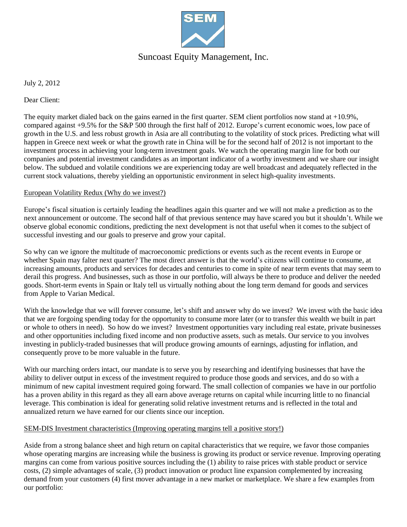

# Suncoast Equity Management, Inc.

July 2, 2012

Dear Client:

The equity market dialed back on the gains earned in the first quarter. SEM client portfolios now stand at +10.9%, compared against +9.5% for the S&P 500 through the first half of 2012. Europe's current economic woes, low pace of growth in the U.S. and less robust growth in Asia are all contributing to the volatility of stock prices. Predicting what will happen in Greece next week or what the growth rate in China will be for the second half of 2012 is not important to the investment process in achieving your long-term investment goals. We watch the operating margin line for both our companies and potential investment candidates as an important indicator of a worthy investment and we share our insight below. The subdued and volatile conditions we are experiencing today are well broadcast and adequately reflected in the current stock valuations, thereby yielding an opportunistic environment in select high-quality investments.

### European Volatility Redux (Why do we invest?)

Europe's fiscal situation is certainly leading the headlines again this quarter and we will not make a prediction as to the next announcement or outcome. The second half of that previous sentence may have scared you but it shouldn't. While we observe global economic conditions, predicting the next development is not that useful when it comes to the subject of successful investing and our goals to preserve and grow your capital.

So why can we ignore the multitude of macroeconomic predictions or events such as the recent events in Europe or whether Spain may falter next quarter? The most direct answer is that the world's citizens will continue to consume, at increasing amounts, products and services for decades and centuries to come in spite of near term events that may seem to derail this progress. And businesses, such as those in our portfolio, will always be there to produce and deliver the needed goods. Short-term events in Spain or Italy tell us virtually nothing about the long term demand for goods and services from Apple to Varian Medical.

With the knowledge that we will forever consume, let's shift and answer why do we invest? We invest with the basic idea that we are forgoing spending today for the opportunity to consume more later (or to transfer this wealth we built in part or whole to others in need). So how do we invest? Investment opportunities vary including real estate, private businesses and other opportunities including fixed income and non productive assets, such as metals. Our service to you involves investing in publicly-traded businesses that will produce growing amounts of earnings, adjusting for inflation, and consequently prove to be more valuable in the future.

With our marching orders intact, our mandate is to serve you by researching and identifying businesses that have the ability to deliver output in excess of the investment required to produce those goods and services, and do so with a minimum of new capital investment required going forward. The small collection of companies we have in our portfolio has a proven ability in this regard as they all earn above average returns on capital while incurring little to no financial leverage. This combination is ideal for generating solid relative investment returns and is reflected in the total and annualized return we have earned for our clients since our inception.

### SEM-DIS Investment characteristics (Improving operating margins tell a positive story!)

Aside from a strong balance sheet and high return on capital characteristics that we require, we favor those companies whose operating margins are increasing while the business is growing its product or service revenue. Improving operating margins can come from various positive sources including the (1) ability to raise prices with stable product or service costs, (2) simple advantages of scale, (3) product innovation or product line expansion complemented by increasing demand from your customers (4) first mover advantage in a new market or marketplace. We share a few examples from our portfolio: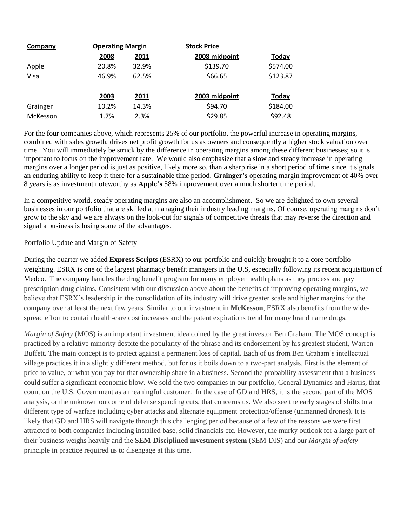| Company  | <b>Operating Margin</b> |       | <b>Stock Price</b> |              |
|----------|-------------------------|-------|--------------------|--------------|
|          | 2008                    | 2011  | 2008 midpoint      | <b>Today</b> |
| Apple    | 20.8%                   | 32.9% | \$139.70           | \$574.00     |
| Visa     | 46.9%                   | 62.5% | \$66.65            | \$123.87     |
|          | 2003                    | 2011  | 2003 midpoint      | <b>Today</b> |
| Grainger | 10.2%                   | 14.3% | \$94.70            | \$184.00     |
| McKesson | 1.7%                    | 2.3%  | \$29.85            | \$92.48      |

For the four companies above, which represents 25% of our portfolio, the powerful increase in operating margins, combined with sales growth, drives net profit growth for us as owners and consequently a higher stock valuation over time. You will immediately be struck by the difference in operating margins among these different businesses; so it is important to focus on the improvement rate. We would also emphasize that a slow and steady increase in operating margins over a longer period is just as positive, likely more so, than a sharp rise in a short period of time since it signals an enduring ability to keep it there for a sustainable time period. **Grainger's** operating margin improvement of 40% over 8 years is as investment noteworthy as **Apple's** 58% improvement over a much shorter time period.

In a competitive world, steady operating margins are also an accomplishment. So we are delighted to own several businesses in our portfolio that are skilled at managing their industry leading margins. Of course, operating margins don't grow to the sky and we are always on the look-out for signals of competitive threats that may reverse the direction and signal a business is losing some of the advantages.

### Portfolio Update and Margin of Safety

During the quarter we added **Express Scripts** (ESRX) to our portfolio and quickly brought it to a core portfolio weighting. ESRX is one of the largest pharmacy benefit managers in the U.S, especially following its recent acquisition of Medco. The company handles the drug benefit program for many employer health plans as they process and pay prescription drug claims. Consistent with our discussion above about the benefits of improving operating margins, we believe that ESRX's leadership in the consolidation of its industry will drive greater scale and higher margins for the company over at least the next few years. Similar to our investment in **McKesson**, ESRX also benefits from the widespread effort to contain health-care cost increases and the patent expirations trend for many brand name drugs.

*Margin of Safety* (MOS) is an important investment idea coined by the great investor Ben Graham. The MOS concept is practiced by a relative minority despite the popularity of the phrase and its endorsement by his greatest student, Warren Buffett. The main concept is to protect against a permanent loss of capital. Each of us from Ben Graham's intellectual village practices it in a slightly different method, but for us it boils down to a two-part analysis. First is the element of price to value, or what you pay for that ownership share in a business. Second the probability assessment that a business could suffer a significant economic blow. We sold the two companies in our portfolio, General Dynamics and Harris, that count on the U.S. Government as a meaningful customer. In the case of GD and HRS, it is the second part of the MOS analysis, or the unknown outcome of defense spending cuts, that concerns us. We also see the early stages of shifts to a different type of warfare including cyber attacks and alternate equipment protection/offense (unmanned drones). It is likely that GD and HRS will navigate through this challenging period because of a few of the reasons we were first attracted to both companies including installed base, solid financials etc. However, the murky outlook for a large part of their business weighs heavily and the **SEM-Disciplined investment system** (SEM-DIS) and our *Margin of Safety* principle in practice required us to disengage at this time.